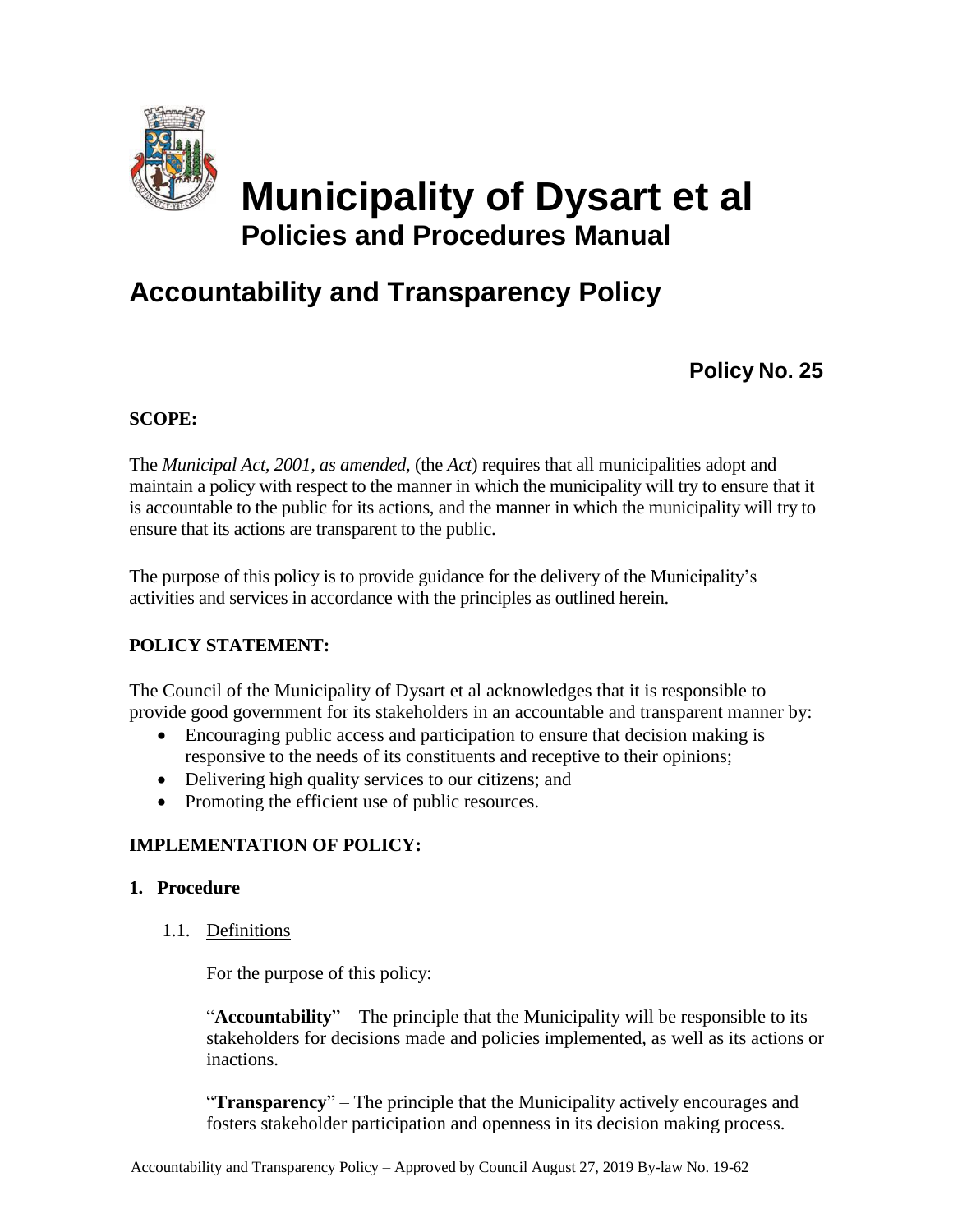

# **Municipality of Dysart et al Policies and Procedures Manual**

# **Accountability and Transparency Policy**

**Policy No. 25**

# **SCOPE:**

The *Municipal Act, 2001, as amended,* (the *Act*) requires that all municipalities adopt and maintain a policy with respect to the manner in which the municipality will try to ensure that it is accountable to the public for its actions, and the manner in which the municipality will try to ensure that its actions are transparent to the public.

The purpose of this policy is to provide guidance for the delivery of the Municipality's activities and services in accordance with the principles as outlined herein.

# **POLICY STATEMENT:**

The Council of the Municipality of Dysart et al acknowledges that it is responsible to provide good government for its stakeholders in an accountable and transparent manner by:

- Encouraging public access and participation to ensure that decision making is responsive to the needs of its constituents and receptive to their opinions;
- Delivering high quality services to our citizens; and
- Promoting the efficient use of public resources.

# **IMPLEMENTATION OF POLICY:**

# **1. Procedure**

1.1. Definitions

For the purpose of this policy:

"**Accountability**" – The principle that the Municipality will be responsible to its stakeholders for decisions made and policies implemented, as well as its actions or inactions.

"**Transparency**" – The principle that the Municipality actively encourages and fosters stakeholder participation and openness in its decision making process.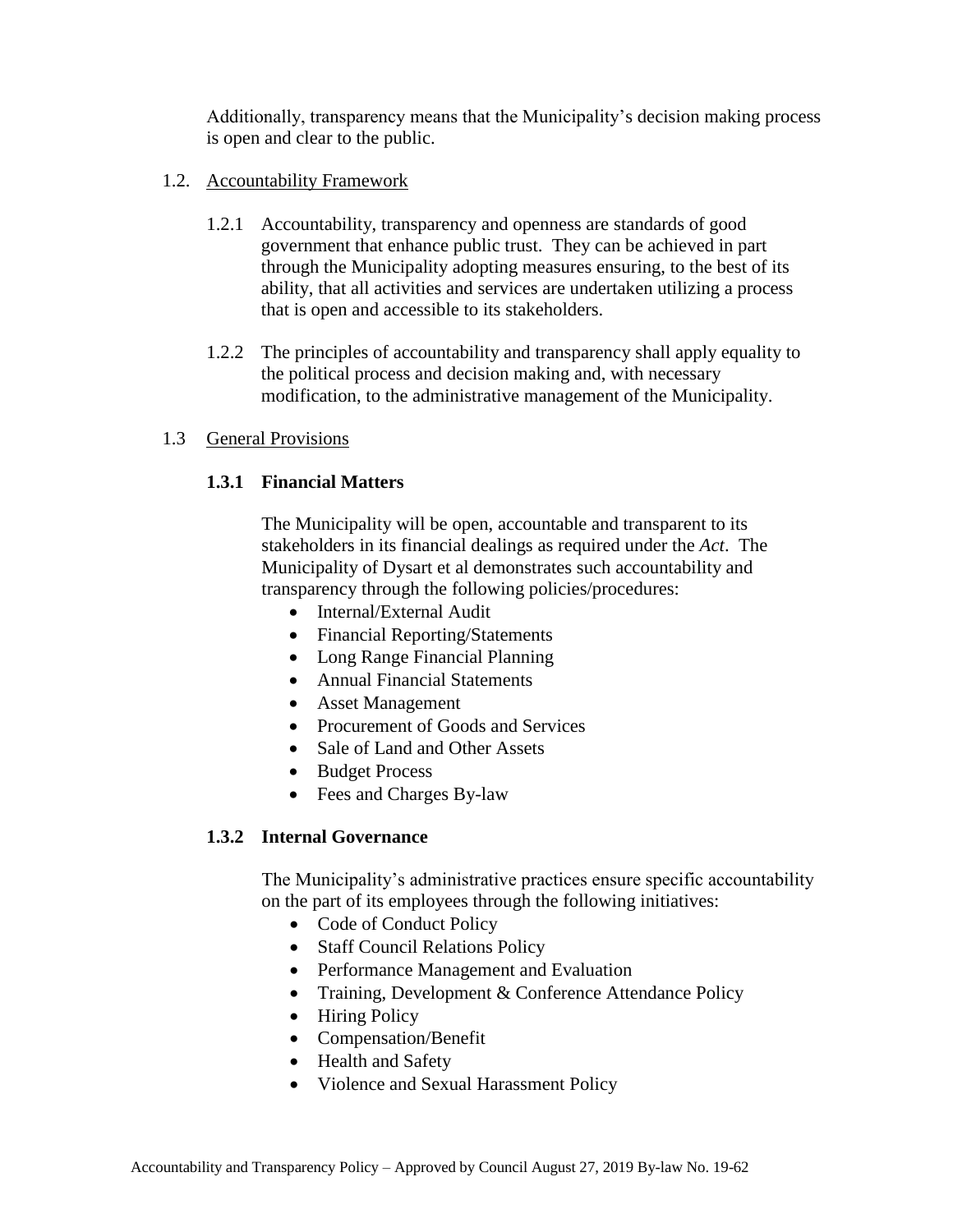Additionally, transparency means that the Municipality's decision making process is open and clear to the public.

#### 1.2. Accountability Framework

- 1.2.1 Accountability, transparency and openness are standards of good government that enhance public trust. They can be achieved in part through the Municipality adopting measures ensuring, to the best of its ability, that all activities and services are undertaken utilizing a process that is open and accessible to its stakeholders.
- 1.2.2 The principles of accountability and transparency shall apply equality to the political process and decision making and, with necessary modification, to the administrative management of the Municipality.

#### 1.3 General Provisions

#### **1.3.1 Financial Matters**

The Municipality will be open, accountable and transparent to its stakeholders in its financial dealings as required under the *Act*. The Municipality of Dysart et al demonstrates such accountability and transparency through the following policies/procedures:

- Internal/External Audit
- Financial Reporting/Statements
- Long Range Financial Planning
- Annual Financial Statements
- Asset Management
- Procurement of Goods and Services
- Sale of Land and Other Assets
- Budget Process
- Fees and Charges By-law

# **1.3.2 Internal Governance**

The Municipality's administrative practices ensure specific accountability on the part of its employees through the following initiatives:

- Code of Conduct Policy
- Staff Council Relations Policy
- Performance Management and Evaluation
- Training, Development & Conference Attendance Policy
- Hiring Policy
- Compensation/Benefit
- Health and Safety
- Violence and Sexual Harassment Policy